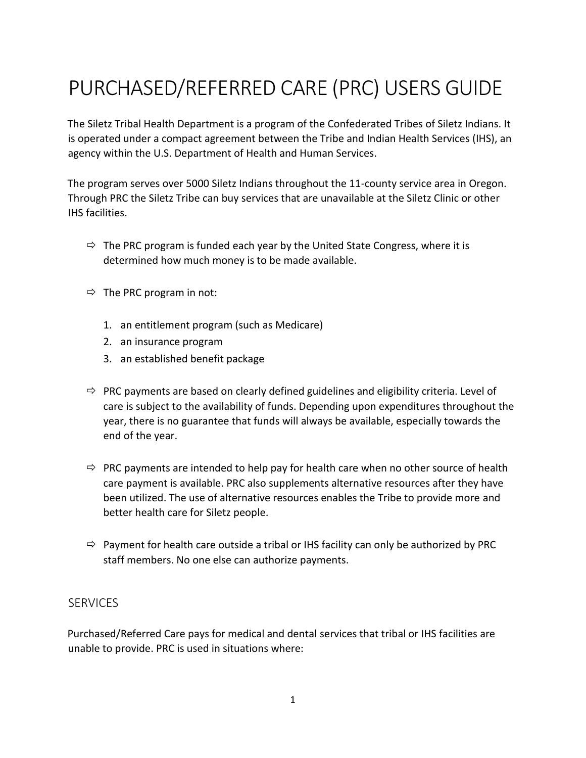# PURCHASED/REFERRED CARE (PRC) USERS GUIDE

The Siletz Tribal Health Department is a program of the Confederated Tribes of Siletz Indians. It is operated under a compact agreement between the Tribe and Indian Health Services (IHS), an agency within the U.S. Department of Health and Human Services.

The program serves over 5000 Siletz Indians throughout the 11-county service area in Oregon. Through PRC the Siletz Tribe can buy services that are unavailable at the Siletz Clinic or other IHS facilities.

- $\Rightarrow$  The PRC program is funded each year by the United State Congress, where it is determined how much money is to be made available.
- $\Rightarrow$  The PRC program in not:
	- 1. an entitlement program (such as Medicare)
	- 2. an insurance program
	- 3. an established benefit package
- $\Rightarrow$  PRC payments are based on clearly defined guidelines and eligibility criteria. Level of care is subject to the availability of funds. Depending upon expenditures throughout the year, there is no guarantee that funds will always be available, especially towards the end of the year.
- $\Rightarrow$  PRC payments are intended to help pay for health care when no other source of health care payment is available. PRC also supplements alternative resources after they have been utilized. The use of alternative resources enables the Tribe to provide more and better health care for Siletz people.
- $\Rightarrow$  Payment for health care outside a tribal or IHS facility can only be authorized by PRC staff members. No one else can authorize payments.

#### **SERVICES**

Purchased/Referred Care pays for medical and dental services that tribal or IHS facilities are unable to provide. PRC is used in situations where: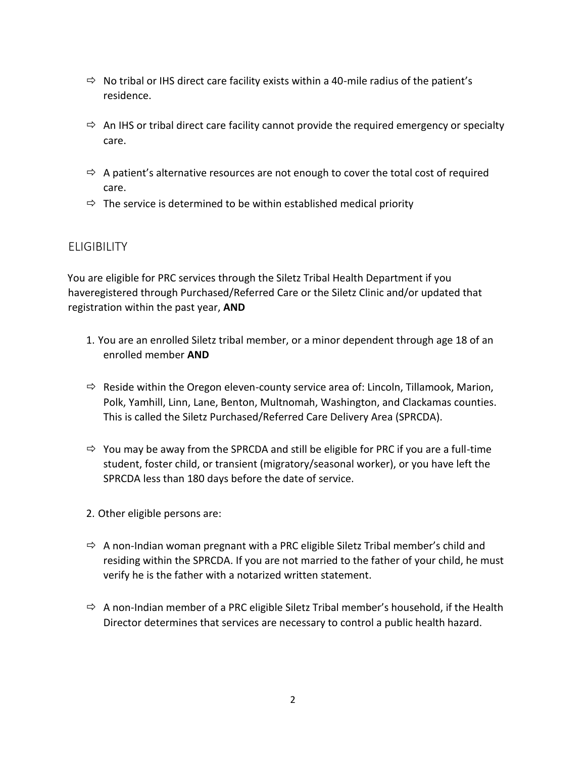- $\Rightarrow$  No tribal or IHS direct care facility exists within a 40-mile radius of the patient's residence.
- $\Rightarrow$  An IHS or tribal direct care facility cannot provide the required emergency or specialty care.
- $\Rightarrow$  A patient's alternative resources are not enough to cover the total cost of required care.
- $\Rightarrow$  The service is determined to be within established medical priority

## **ELIGIBILITY**

You are eligible for PRC services through the Siletz Tribal Health Department if you haveregistered through Purchased/Referred Care or the Siletz Clinic and/or updated that registration within the past year, **AND** 

- 1. You are an enrolled Siletz tribal member, or a minor dependent through age 18 of an enrolled member **AND**
- $\Rightarrow$  Reside within the Oregon eleven-county service area of: Lincoln, Tillamook, Marion, Polk, Yamhill, Linn, Lane, Benton, Multnomah, Washington, and Clackamas counties. This is called the Siletz Purchased/Referred Care Delivery Area (SPRCDA).
- $\Rightarrow$  You may be away from the SPRCDA and still be eligible for PRC if you are a full-time student, foster child, or transient (migratory/seasonal worker), or you have left the SPRCDA less than 180 days before the date of service.
- 2. Other eligible persons are:
- $\Rightarrow$  A non-Indian woman pregnant with a PRC eligible Siletz Tribal member's child and residing within the SPRCDA. If you are not married to the father of your child, he must verify he is the father with a notarized written statement.
- $\Rightarrow$  A non-Indian member of a PRC eligible Siletz Tribal member's household, if the Health Director determines that services are necessary to control a public health hazard.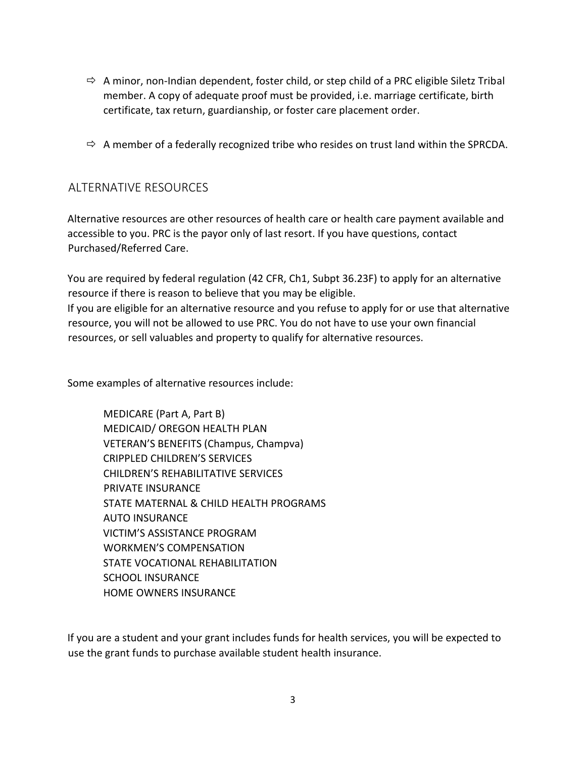- $\Rightarrow$  A minor, non-Indian dependent, foster child, or step child of a PRC eligible Siletz Tribal member. A copy of adequate proof must be provided, i.e. marriage certificate, birth certificate, tax return, guardianship, or foster care placement order.
- $\Rightarrow$  A member of a federally recognized tribe who resides on trust land within the SPRCDA.

### ALTERNATIVE RESOURCES

Alternative resources are other resources of health care or health care payment available and accessible to you. PRC is the payor only of last resort. If you have questions, contact Purchased/Referred Care.

You are required by federal regulation (42 CFR, Ch1, Subpt 36.23F) to apply for an alternative resource if there is reason to believe that you may be eligible. If you are eligible for an alternative resource and you refuse to apply for or use that alternative resource, you will not be allowed to use PRC. You do not have to use your own financial resources, or sell valuables and property to qualify for alternative resources.

Some examples of alternative resources include:

 MEDICARE (Part A, Part B) MEDICAID/ OREGON HEALTH PLAN VETERAN'S BENEFITS (Champus, Champva) CRIPPLED CHILDREN'S SERVICES CHILDREN'S REHABILITATIVE SERVICES PRIVATE INSURANCE STATE MATERNAL & CHILD HEALTH PROGRAMS AUTO INSURANCE VICTIM'S ASSISTANCE PROGRAM WORKMEN'S COMPENSATION STATE VOCATIONAL REHABILITATION SCHOOL INSURANCE HOME OWNERS INSURANCE

If you are a student and your grant includes funds for health services, you will be expected to use the grant funds to purchase available student health insurance.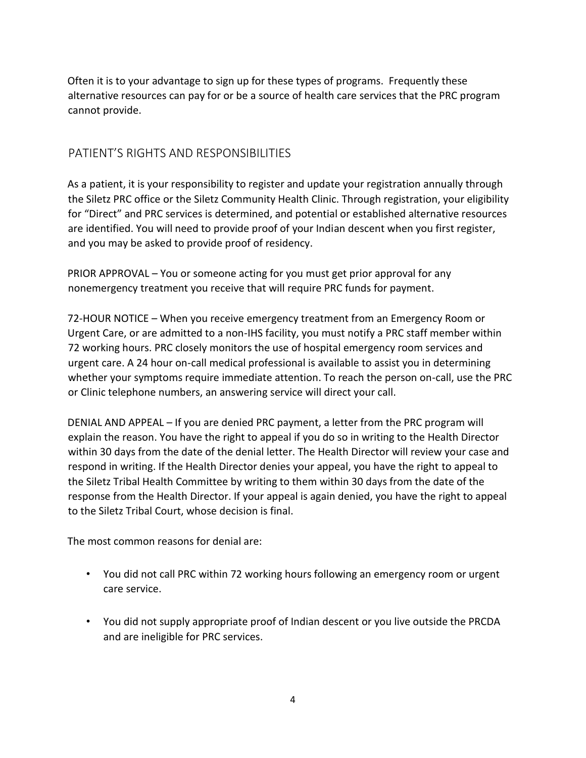Often it is to your advantage to sign up for these types of programs. Frequently these alternative resources can pay for or be a source of health care services that the PRC program cannot provide.

## PATIENT'S RIGHTS AND RESPONSIBILITIES

As a patient, it is your responsibility to register and update your registration annually through the Siletz PRC office or the Siletz Community Health Clinic. Through registration, your eligibility for "Direct" and PRC services is determined, and potential or established alternative resources are identified. You will need to provide proof of your Indian descent when you first register, and you may be asked to provide proof of residency.

PRIOR APPROVAL – You or someone acting for you must get prior approval for any nonemergency treatment you receive that will require PRC funds for payment.

72-HOUR NOTICE – When you receive emergency treatment from an Emergency Room or Urgent Care, or are admitted to a non-IHS facility, you must notify a PRC staff member within 72 working hours. PRC closely monitors the use of hospital emergency room services and urgent care. A 24 hour on-call medical professional is available to assist you in determining whether your symptoms require immediate attention. To reach the person on-call, use the PRC or Clinic telephone numbers, an answering service will direct your call.

DENIAL AND APPEAL – If you are denied PRC payment, a letter from the PRC program will explain the reason. You have the right to appeal if you do so in writing to the Health Director within 30 days from the date of the denial letter. The Health Director will review your case and respond in writing. If the Health Director denies your appeal, you have the right to appeal to the Siletz Tribal Health Committee by writing to them within 30 days from the date of the response from the Health Director. If your appeal is again denied, you have the right to appeal to the Siletz Tribal Court, whose decision is final.

The most common reasons for denial are:

- You did not call PRC within 72 working hours following an emergency room or urgent care service.
- You did not supply appropriate proof of Indian descent or you live outside the PRCDA and are ineligible for PRC services.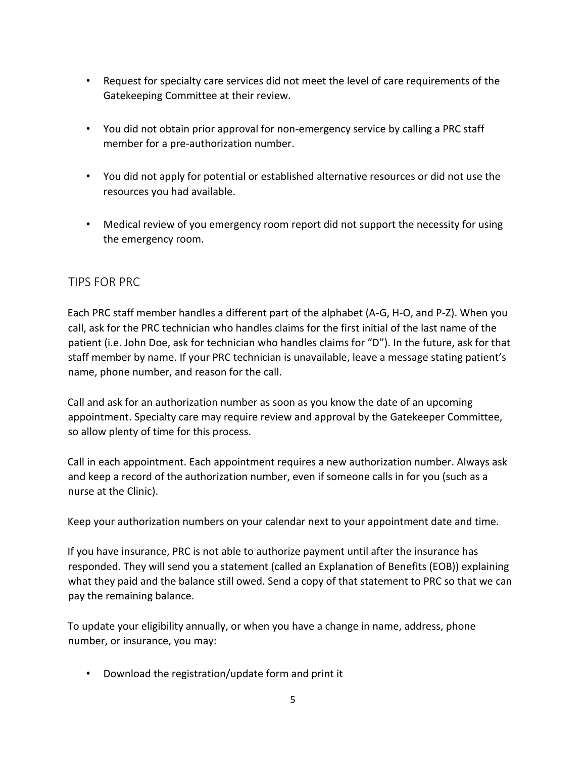- Request for specialty care services did not meet the level of care requirements of the Gatekeeping Committee at their review.
- You did not obtain prior approval for non-emergency service by calling a PRC staff member for a pre-authorization number.
- You did not apply for potential or established alternative resources or did not use the resources you had available.
- Medical review of you emergency room report did not support the necessity for using the emergency room.

## TIPS FOR PRC

Each PRC staff member handles a different part of the alphabet (A-G, H-O, and P-Z). When you call, ask for the PRC technician who handles claims for the first initial of the last name of the patient (i.e. John Doe, ask for technician who handles claims for "D"). In the future, ask for that staff member by name. If your PRC technician is unavailable, leave a message stating patient's name, phone number, and reason for the call.

Call and ask for an authorization number as soon as you know the date of an upcoming appointment. Specialty care may require review and approval by the Gatekeeper Committee, so allow plenty of time for this process.

Call in each appointment. Each appointment requires a new authorization number. Always ask and keep a record of the authorization number, even if someone calls in for you (such as a nurse at the Clinic).

Keep your authorization numbers on your calendar next to your appointment date and time.

If you have insurance, PRC is not able to authorize payment until after the insurance has responded. They will send you a statement (called an Explanation of Benefits (EOB)) explaining what they paid and the balance still owed. Send a copy of that statement to PRC so that we can pay the remaining balance.

To update your eligibility annually, or when you have a change in name, address, phone number, or insurance, you may:

• Download the registration/update form and print it